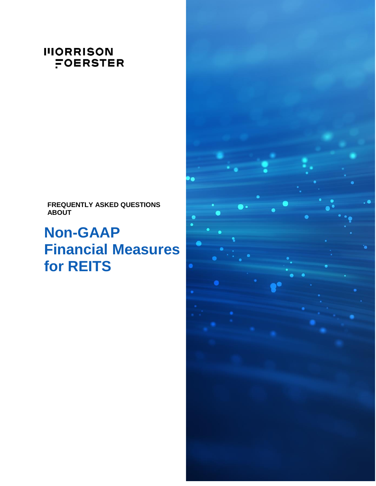# **IIIORRISON** FOERSTER

**FREQUENTLY ASKED QUESTIONS ABOUT**

# **Non-GAAP Financial Measures for REITS**

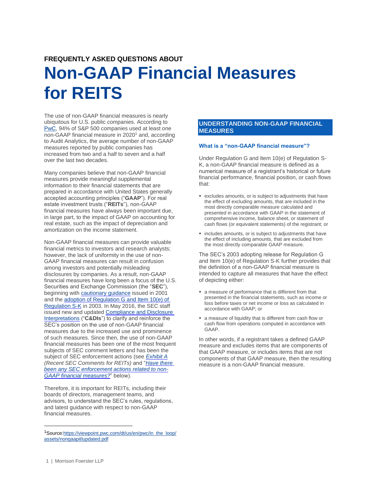# **FREQUENTLY ASKED QUESTIONS ABOUT**

# **Non-GAAP Financial Measures for REITS**

The use of non-GAAP financial measures is nearly ubiquitous for U.S. public companies. According to [PwC,](https://viewpoint.pwc.com/dt/us/en/pwc/in_the_loop/assets/nongaapitlupdated.pdf) 94% of S&P 500 companies used at least one  $\overline{non-GAAP}$  financial measure in 2020<sup>1</sup> and, according to Audit Analytics, the average number of non-GAAP measures reported by public companies has increased from two and a half to seven and a half over the last two decades.

Many companies believe that non-GAAP financial measures provide meaningful supplemental information to their financial statements that are prepared in accordance with United States generally accepted accounting principles ("**GAAP**"). For real estate investment trusts ("**REITs**"), non-GAAP financial measures have always been important due, in large part, to the impact of GAAP on accounting for real estate, such as the impact of depreciation and amortization on the income statement.

Non-GAAP financial measures can provide valuable financial metrics to investors and research analysts; however, the lack of uniformity in the use of non-GAAP financial measures can result in confusion among investors and potentially misleading disclosures by companies. As a result, non-GAAP financial measures have long been a focus of the U.S. Securities and Exchange Commission (the "**SEC**"), beginning with [cautionary guidance](https://www.sec.gov/rules/other/33-8039.htm) issued in 2001 and th[e adoption of Regulation G and Item 10\(e\) of](https://www.sec.gov/rules/final/33-8176.htm)  [Regulation S-K](https://www.sec.gov/rules/final/33-8176.htm) in 2003. In May 2016, the SEC staff issued new and updated [Compliance and Disclosure](https://www.sec.gov/corpfin/non-gaap-financial-measures)  [Interpretations](https://www.sec.gov/corpfin/non-gaap-financial-measures) ("**C&DIs**") to clarify and reinforce the SEC's position on the use of non-GAAP financial measures due to the increased use and prominence of such measures. Since then, the use of non-GAAP financial measures has been one of the most frequent subjects of SEC comment letters and has been the subject of SEC enforcement actions (see *[Exhibit A](#page-8-0) (Recent SEC Comments for REITs)* and "*[Have there](#page-7-0)  been any SEC [enforcement actions related to non-](#page-7-0)[GAAP financial](#page-7-0) measures?*" below).

Therefore, it is important for REITs, including their boards of directors, management teams, and advisors, to understand the SEC's rules, regulations, and latest guidance with respect to non-GAAP financial measures.

# **UNDERSTANDING NON-GAAP FINANCIAL MEASURES**

# **What is a "non-GAAP financial measure"?**

Under Regulation G and Item 10(e) of Regulation S-K, a non-GAAP financial measure is defined as a numerical measure of a registrant's historical or future financial performance, financial position, or cash flows that:

- excludes amounts, or is subject to adjustments that have the effect of excluding amounts, that are included in the most directly comparable measure calculated and presented in accordance with GAAP in the statement of comprehensive income, balance sheet, or statement of cash flows (or equivalent statements) of the registrant; or
- includes amounts, or is subject to adjustments that have the effect of including amounts, that are excluded from the most directly comparable GAAP measure.

The SEC's 2003 adopting release for Regulation G and Item 10(e) of Regulation S-K further provides that the definition of a non-GAAP financial measure is intended to capture all measures that have the effect of depicting either:

- a measure of performance that is different from that presented in the financial statements, such as income or loss before taxes or net income or loss as calculated in accordance with GAAP; or
- a measure of liquidity that is different from cash flow or cash flow from operations computed in accordance with GAAP.

In other words, if a registrant takes a defined GAAP measure and excludes items that are components of that GAAP measure, or includes items that are not components of that GAAP measure, then the resulting measure is a non-GAAP financial measure.

 $\overline{a}$ 

<sup>1</sup>Sourc[e:https://viewpoint.pwc.com/dt/us/en/pwc/in\\_the\\_loop/](https://viewpoint.pwc.com/dt/us/en/pwc/in_the_loop/assets/nongaapitlupdated.pdf) [assets/nongaapitlupdated.pdf](https://viewpoint.pwc.com/dt/us/en/pwc/in_the_loop/assets/nongaapitlupdated.pdf)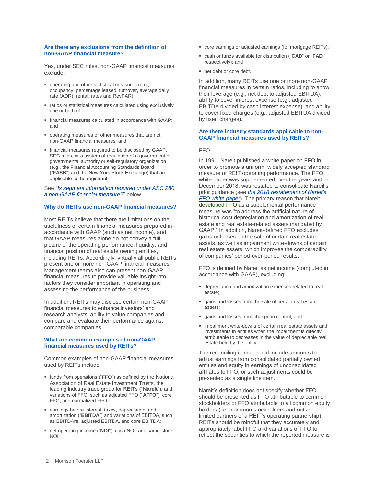#### **Are there any exclusions from the definition of non-GAAP financial measure?**

Yes, under SEC rules, non-GAAP financial measures exclude:

- **perating and other statistical measures (e.g.,** occupancy, percentage leased, turnover, average daily rate (ADR), rental, rates and RevPAR);
- ratios or statistical measures calculated using exclusively one or both of:
- financial measures calculated in accordance with GAAP; and
- operating measures or other measures that are not non-GAAP financial measures; and
- financial measures required to be disclosed by GAAP, SEC rules, or a system of regulation of a government or governmental authority or self-regulatory organization (e.g., the Financial Accounting Standards Board ("**FASB**") and the New York Stock Exchange) that are applicable to the registrant.

See "*[Is segment information required under ASC 280](#page-4-0)  [a non-GAAP financial measure?](#page-4-0)*" below.

# **Why do REITs use non-GAAP financial measures?**

Most REITs believe that there are limitations on the usefulness of certain financial measures prepared in accordance with GAAP (such as net income), and that GAAP measures alone do not convey a full picture of the operating performance, liquidity, and financial position of real estate owning entities, including REITs. Accordingly, virtually all public REITs present one or more non-GAAP financial measures. Management teams also can present non-GAAP financial measures to provide valuable insight into factors they consider important in operating and assessing the performance of the business.

In addition, REITs may disclose certain non-GAAP financial measures to enhance investors' and research analysts' ability to value companies and compare and evaluate their performance against comparable companies.

# **What are common examples of non-GAAP financial measures used by REITs?**

Common examples of non-GAAP financial measures used by REITs include:

- funds from operations ("**FFO**") as defined by the National Association of Real Estate Investment Trusts, the leading industry trade group for REITs ("**Nareit**"), and variations of FFO, such as adjusted FFO ("**AFFO**"), core FFO, and normalized FFO;
- earnings before interest, taxes, depreciation, and amortization ("**EBITDA**") and variations of EBITDA, such as EBITDAre, adjusted EBITDA, and core EBITDA;
- net operating income ("**NOI**"), cash NOI, and same-store NOI;
- core earnings or adjusted earnings (for mortgage REITs);
- cash or funds available for distribution ("**CAD**" or "**FAD**," respectively); and
- net debt or core debt.

In addition, many REITs use one or more non-GAAP financial measures in certain ratios, including to show their leverage (e.g., net debt to adjusted EBITDA), ability to cover interest expense (e.g., adjusted EBITDA divided by cash interest expense), and ability to cover fixed charges (e.g., adjusted EBITDA divided by fixed charges).

#### **Are there industry standards applicable to non-GAAP financial measures used by REITs?**

# FFO

In 1991, Nareit published a white paper on FFO in order to promote a uniform, widely accepted standard measure of REIT operating performance. The FFO white paper was supplemented over the years and, in December 2018, was restated to consolidate Nareit's prior guidance (see *the 2018 [restatement of Nareit's](https://www.reit.com/sites/default/files/2018-FFO-white-paper-(11-27-18).pdf)  FFO [white paper](https://www.reit.com/sites/default/files/2018-FFO-white-paper-(11-27-18).pdf)*). The primary reason that Nareit developed FFO as a supplemental performance measure was "to address the artificial nature of historical cost depreciation and amortization of real estate and real estate-related assets mandated by GAAP." In addition, Nareit-defined FFO excludes gains or losses on the sale of certain real estate assets, as well as impairment write-downs of certain real estate assets, which improves the comparability of companies' period-over-period results.

FFO is defined by Nareit as net income (computed in accordance with GAAP), excluding:

- depreciation and amortization expenses related to real estate;
- gains and losses from the sale of certain real estate assets;
- gains and losses from change in control; and
- impairment write-downs of certain real estate assets and investments in entities when the impairment is directly attributable to decreases in the value of depreciable real estate held by the entity.

The reconciling items should include amounts to adjust earnings from consolidated partially owned entities and equity in earnings of unconsolidated affiliates to FFO, or such adjustments could be presented as a single line item.

Nareit's definition does not specify whether FFO should be presented as FFO attributable to common stockholders or FFO attributable to all common equity holders (i.e., common stockholders and outside limited partners of a REIT's operating partnership). REITs should be mindful that they accurately and appropriately label FFO and variations of FFO to reflect the securities to which the reported measure is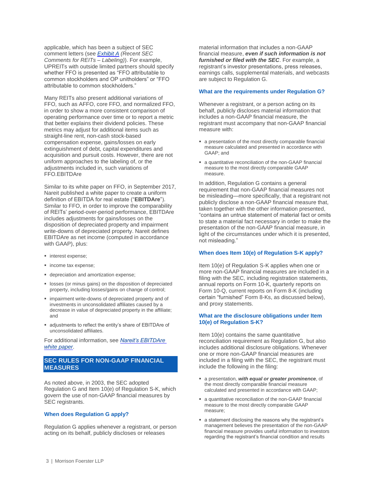applicable, which has been a subject of SEC comment letters (see *[Exhibit A](#page-10-0) (Recent SEC Comments for REITs – Labeling)*). For example, UPREITs with outside limited partners should specify whether FFO is presented as "FFO attributable to common stockholders and OP unitholders" or "FFO attributable to common stockholders."

Many REITs also present additional variations of FFO, such as AFFO, core FFO, and normalized FFO, in order to show a more consistent comparison of operating performance over time or to report a metric that better explains their dividend policies. These metrics may adjust for additional items such as straight-line rent, non-cash stock-based compensation expense, gains/losses on early extinguishment of debt, capital expenditures and acquisition and pursuit costs. However, there are not uniform approaches to the labeling of, or the adjustments included in, such variations of FFO.EBITDAre

Similar to its white paper on FFO, in September 2017, Nareit published a white paper to create a uniform definition of EBITDA for real estate ("**EBITDAre**"). Similar to FFO, in order to improve the comparability of REITs' period-over-period performance, EBITDAre includes adjustments for gains/losses on the disposition of depreciated property and impairment write-downs of depreciated property. Nareit defines EBITDAre as net income (computed in accordance with GAAP), plus:

- **n** interest expense;
- **income tax expense;**
- **depreciation and amortization expense;**
- **IDOSSES** (or minus gains) on the disposition of depreciated property, including losses/gains on change of control;
- **EX impairment write-downs of depreciated property and of** investments in unconsolidated affiliates caused by a decrease in value of depreciated property in the affiliate; and
- adjustments to reflect the entity's share of EBITDAre of unconsolidated affiliates.

For additional information, see *[Nareit's EBITDAre](https://www.reit.com/sites/default/files/EBITDAre_Whitepaper(9-18-17).pdf)  white [paper](https://www.reit.com/sites/default/files/EBITDAre_Whitepaper(9-18-17).pdf)*.

# **SEC RULES FOR NON-GAAP FINANCIAL MEASURES**

As noted above, in 2003, the SEC adopted Regulation G and Item 10(e) of Regulation S-K, which govern the use of non-GAAP financial measures by SEC registrants.

# **When does Regulation G apply?**

Regulation G applies whenever a registrant, or person acting on its behalf, publicly discloses or releases

material information that includes a non-GAAP financial measure, *even if such information is not furnished or filed with the SEC*. For example, a registrant's investor presentations, press releases, earnings calls, supplemental materials, and webcasts are subject to Regulation G.

#### **What are the requirements under Regulation G?**

Whenever a registrant, or a person acting on its behalf, publicly discloses material information that includes a non-GAAP financial measure, the registrant must accompany that non-GAAP financial measure with:

- a presentation of the most directly comparable financial measure calculated and presented in accordance with GAAP; and
- a quantitative reconciliation of the non-GAAP financial measure to the most directly comparable GAAP measure.

In addition, Regulation G contains a general requirement that non-GAAP financial measures not be misleading—more specifically, that a registrant not publicly disclose a non-GAAP financial measure that, taken together with the other information presented, "contains an untrue statement of material fact or omits to state a material fact necessary in order to make the presentation of the non-GAAP financial measure, in light of the circumstances under which it is presented, not misleading."

# **When does Item 10(e) of Regulation S-K apply?**

Item 10(e) of Regulation S-K applies when one or more non-GAAP financial measures are included in a filing with the SEC, including registration statements, annual reports on Form 10-K, quarterly reports on Form 10-Q, current reports on Form 8-K (including certain "furnished" Form 8-Ks, as discussed below), and proxy statements.

#### **What are the disclosure obligations under Item 10(e) of Regulation S-K?**

Item 10(e) contains the same quantitative reconciliation requirement as Regulation G, but also includes additional disclosure obligations. Whenever one or more non-GAAP financial measures are included in a filing with the SEC, the registrant must include the following in the filing:

- a presentation, *with equal or greater prominence*, of the most directly comparable financial measure calculated and presented in accordance with GAAP;
- a quantitative reconciliation of the non-GAAP financial measure to the most directly comparable GAAP measure;
- a statement disclosing the reasons why the registrant's management believes the presentation of the non-GAAP financial measure provides useful information to investors regarding the registrant's financial condition and results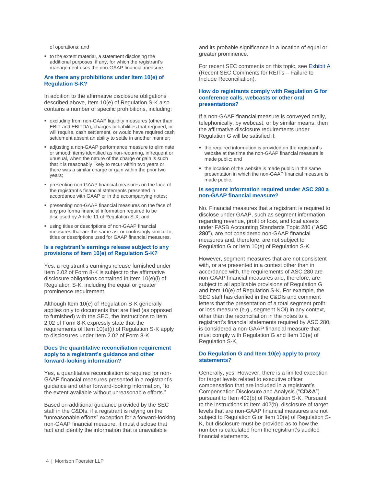of operations; and

to the extent material, a statement disclosing the additional purposes, if any, for which the registrant's management uses the non-GAAP financial measure.

#### **Are there any prohibitions under Item 10(e) of Regulation S-K?**

In addition to the affirmative disclosure obligations described above, Item 10(e) of Regulation S-K also contains a number of specific prohibitions, including:

- excluding from non-GAAP liquidity measures (other than EBIT and EBITDA), charges or liabilities that required, or will require, cash settlement, or would have required cash settlement absent an ability to settle in another manner;
- adjusting a non-GAAP performance measure to eliminate or smooth items identified as non-recurring, infrequent or unusual, when the nature of the charge or gain is such that it is reasonably likely to recur within two years or there was a similar charge or gain within the prior two years;
- presenting non-GAAP financial measures on the face of the registrant's financial statements presented in accordance with GAAP or in the accompanying notes;
- presenting non-GAAP financial measures on the face of any pro forma financial information required to be disclosed by Article 11 of Regulation S-X; and
- using titles or descriptions of non-GAAP financial measures that are the same as, or confusingly similar to, titles or descriptions used for GAAP financial measures.

# **Is a registrant's earnings release subject to any provisions of Item 10(e) of Regulation S-K?**

Yes, a registrant's earnings release furnished under Item 2.02 of Form 8-K is subject to the affirmative disclosure obligations contained in Item 10(e)(i) of Regulation S-K, including the equal or greater prominence requirement.

Although Item 10(e) of Regulation S-K generally applies only to documents that are filed (as opposed to furnished) with the SEC, the instructions to Item 2.02 of Form 8-K expressly state that the requirements of Item 10(e)(i) of Regulation S-K apply to disclosures under Item 2.02 of Form 8-K.

# <span id="page-4-1"></span>**Does the quantitative reconciliation requirement apply to a registrant's guidance and other forward-looking information?**

Yes, a quantitative reconciliation is required for non-GAAP financial measures presented in a registrant's guidance and other forward-looking information, "to the extent available without unreasonable efforts."

Based on additional guidance provided by the SEC staff in the C&DIs, if a registrant is relying on the "unreasonable efforts" exception for a forward-looking non-GAAP financial measure, it must disclose that fact and identify the information that is unavailable

and its probable significance in a location of equal or greater prominence.

For recent SEC comments on this topic, se[e Exhibit A](#page-8-0) (Recent SEC Comments for REITs – Failure to Include Reconciliation).

#### **How do registrants comply with Regulation G for conference calls, webcasts or other oral presentations?**

If a non-GAAP financial measure is conveyed orally, telephonically, by webcast, or by similar means, then the affirmative disclosure requirements under Regulation G will be satisfied if:

- the required information is provided on the registrant's website at the time the non-GAAP financial measure is made public; and
- the location of the website is made public in the same presentation in which the non-GAAP financial measure is made public.

### <span id="page-4-0"></span>**Is segment information required under ASC 280 a non-GAAP financial measure?**

No. Financial measures that a registrant is required to disclose under GAAP, such as segment information regarding revenue, profit or loss, and total assets under FASB Accounting Standards Topic 280 ("**ASC 280**"), are not considered non-GAAP financial measures and, therefore, are not subject to Regulation G or Item 10(e) of Regulation S-K.

However, segment measures that are not consistent with, or are presented in a context other than in accordance with, the requirements of ASC 280 are non-GAAP financial measures and, therefore, are subject to all applicable provisions of Regulation G and Item 10(e) of Regulation S-K. For example, the SEC staff has clarified in the C&DIs and comment letters that the presentation of a total segment profit or loss measure (e.g., segment NOI) in any context, other than the reconciliation in the notes to a registrant's financial statements required by ASC 280, is considered a non-GAAP financial measure that must comply with Regulation G and Item 10(e) of Regulation S-K.

### **Do Regulation G and Item 10(e) apply to proxy statements?**

Generally, yes. However, there is a limited exception for target levels related to executive officer compensation that are included in a registrant's Compensation Disclosure and Analysis ("**CD&A**") pursuant to Item 402(b) of Regulation S-K. Pursuant to the instructions to Item 402(b), disclosure of target levels that are non-GAAP financial measures are not subject to Regulation G or Item 10(e) of Regulation S-K, but disclosure must be provided as to how the number is calculated from the registrant's audited financial statements.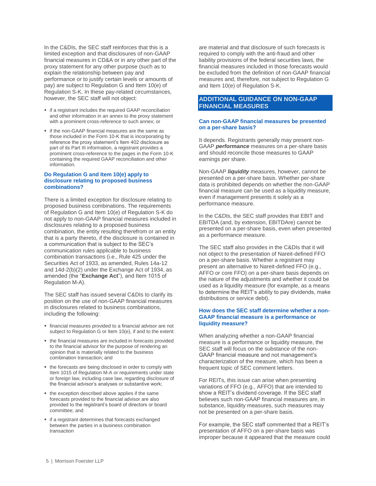In the C&DIs, the SEC staff reinforces that this is a limited exception and that disclosures of non-GAAP financial measures in CD&A or in any other part of the proxy statement for any other purpose (such as to explain the relationship between pay and performance or to justify certain levels or amounts of pay) are subject to Regulation G and Item 10(e) of Regulation S-K. In these pay-related circumstances, however, the SEC staff will not object:

- if a registrant includes the required GAAP reconciliation and other information in an annex to the proxy statement with a prominent cross-reference to such annex; or
- **f** if the non-GAAP financial measures are the same as those included in the Form 10-K that is incorporating by reference the proxy statement's Item 402 disclosure as part of its Part III information, a registrant provides a prominent cross-reference to the pages in the Form 10-K containing the required GAAP reconciliation and other information.

# **Do Regulation G and Item 10(e) apply to disclosure relating to proposed business combinations?**

There is a limited exception for disclosure relating to proposed business combinations. The requirements of Regulation G and Item 10(e) of Regulation S-K do not apply to non-GAAP financial measures included in disclosures relating to a proposed business combination, the entity resulting therefrom or an entity that is a party thereto, if the disclosure is contained in a communication that is subject to the SEC's communication rules applicable to business combination transactions (i.e., Rule 425 under the Securities Act of 1933, as amended, Rules 14a-12 and 14d-2(b)(2) under the Exchange Act of 1934, as amended (the "**Exchange Act**"), and Item 1015 of Regulation M-A).

The SEC staff has issued several C&DIs to clarify its position on the use of non-GAAP financial measures in disclosures related to business combinations, including the following:

- **financial measures provided to a financial advisor are not** subject to Regulation G or Item 10(e), if and to the extent:
- the financial measures are included in forecasts provided to the financial advisor for the purpose of rendering an opinion that is materially related to the business combination transaction; and
- the forecasts are being disclosed in order to comply with Item 1015 of Regulation M-A or requirements under state or foreign law, including case law, regarding disclosure of the financial advisor's analyses or substantive work;
- the exception described above applies if the same forecasts provided to the financial advisor are also provided to the registrant's board of directors or board committee; and
- **if a registrant determines that forecasts exchanged** between the parties in a business combination transaction

are material and that disclosure of such forecasts is required to comply with the anti-fraud and other liability provisions of the federal securities laws, the financial measures included in those forecasts would be excluded from the definition of non-GAAP financial measures and, therefore, not subject to Regulation G and Item 10(e) of Regulation S-K.

# **ADDITIONAL GUIDANCE ON NON-GAAP FINANCIAL MEASURES**

#### **Can non-GAAP financial measures be presented on a per-share basis?**

It depends. Registrants generally may present non-GAAP *performance* measures on a per-share basis and should reconcile those measures to GAAP earnings per share.

Non-GAAP *liquidity* measures, however, cannot be presented on a per-share basis. Whether per-share data is prohibited depends on whether the non-GAAP financial measure can be used as a liquidity measure, even if management presents it solely as a performance measure.

In the C&DIs, the SEC staff provides that EBIT and EBITDA (and, by extension, EBITDAre) cannot be presented on a per-share basis, even when presented as a performance measure.

The SEC staff also provides in the C&DIs that it will not object to the presentation of Nareit-defined FFO on a per-share basis. Whether a registrant may present an alternative to Nareit-defined FFO (e.g., AFFO or core FFO) on a per-share basis depends on the nature of the adjustments and whether it could be used as a liquidity measure (for example, as a means to determine the REIT's ability to pay dividends, make distributions or service debt).

### **How does the SEC staff determine whether a non-GAAP financial measure is a performance or liquidity measure?**

When analyzing whether a non-GAAP financial measure is a performance or liquidity measure, the SEC staff will focus on the substance of the non-GAAP financial measure and not management's characterization of the measure, which has been a frequent topic of SEC comment letters.

For REITs, this issue can arise when presenting variations of FFO (e.g., AFFO) that are intended to show a REIT's dividend coverage. If the SEC staff believes such non-GAAP financial measures are, in substance, liquidity measures, such measures may not be presented on a per-share basis.

For example, the SEC staff commented that a REIT's presentation of AFFO on a per-share basis was improper because it appeared that the measure could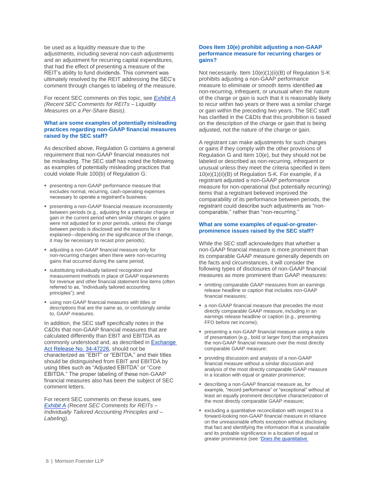be used as a liquidity measure due to the adjustments, including several non-cash adjustments and an adjustment for recurring capital expenditures, that had the effect of presenting a measure of the REIT's ability to fund dividends. This comment was ultimately resolved by the REIT addressing the SEC's comment through changes to labeling of the measure.

For recent SEC comments on this topic, see *[Exhibit A](#page-8-1) (Recent SEC Comments for REITs – Liquidity Measures on a Per-Share Basis)*.

# **What are some examples of potentially misleading practices regarding non-GAAP financial measures raised by the SEC staff?**

As described above, Regulation G contains a general requirement that non-GAAP financial measures not be misleading. The SEC staff has noted the following as examples of potentially misleading practices that could violate Rule 100(b) of Regulation G:

- presenting a non-GAAP performance measure that excludes normal, recurring, cash-operating expenses necessary to operate a registrant's business;
- presenting a non-GAAP financial measure inconsistently between periods (e.g., adjusting for a particular charge or gain in the current period when similar charges or gains were not adjusted for in prior periods, unless the change between periods is disclosed and the reasons for it explained—depending on the significance of the change, it may be necessary to recast prior periods);
- adjusting a non-GAAP financial measure only for non-recurring charges when there were non-recurring gains that occurred during the same period;
- substituting individually tailored recognition and measurement methods in place of GAAP requirements for revenue and other financial statement line items (often referred to as, "individually tailored accounting principles"); and
- using non-GAAP financial measures with titles or descriptions that are the same as, or confusingly similar to, GAAP measures.

In addition, the SEC staff specifically notes in the C&DIs that non-GAAP financial measures that are calculated differently than EBIT and EBITDA as commonly understood and, as described in [Exchange](https://www.sec.gov/rules/final/33-8176.htm)  [Act Release No. 34-47226,](https://www.sec.gov/rules/final/33-8176.htm) should not be characterized as "EBIT" or "EBITDA," and their titles should be distinguished from EBIT and EBITDA by using titles such as "Adjusted EBITDA" or "Core EBITDA." The proper labeling of these non-GAAP financial measures also has been the subject of SEC comment letters.

For recent SEC comments on these issues, see *[Exhibit A](#page-9-0) (Recent SEC Comments for REITs – Individually Tailored Accounting Principles and – Labeling)*.

# **Does Item 10(e) prohibit adjusting a non-GAAP performance measure for recurring charges or gains?**

Not necessarily. Item 10(e)(1)(ii)(B) of Regulation S-K prohibits adjusting a non-GAAP performance measure to eliminate or smooth items identified *as*  non-recurring, infrequent, or unusual when the nature of the charge or gain is such that it is reasonably likely to recur within two years or there was a similar charge or gain within the preceding two years. The SEC staff has clarified in the C&DIs that this prohibition is based on the description of the charge or gain that is being adjusted, not the nature of the charge or gain.

A registrant can make adjustments for such charges or gains if they comply with the other provisions of Regulation G and Item 10(e), but they should not be labeled or described as non-recurring, infrequent or unusual unless they meet the criteria specified in Item 10(e)(1)(ii)(B) of Regulation S-K. For example, if a registrant adjusted a non-GAAP performance measure for non-operational (but potentially recurring) items that a registrant believed improved the comparability of its performance between periods, the registrant could describe such adjustments as "noncomparable," rather than "non-recurring."

# **What are some examples of equal-or-greaterprominence issues raised by the SEC staff?**

While the SEC staff acknowledges that whether a non-GAAP financial measure is more prominent than its comparable GAAP measure generally depends on the facts and circumstances, it will consider the following types of disclosures of non-GAAP financial measures as more prominent than GAAP measures:

- omitting comparable GAAP measures from an earnings release headline or caption that includes non-GAAP financial measures;
- a non-GAAP financial measure that precedes the most directly comparable GAAP measure, including in an earnings release headline or caption (e.g., presenting FFO before net income);
- presenting a non-GAAP financial measure using a style of presentation (e.g., bold or larger font) that emphasizes the non-GAAP financial measure over the most directly comparable GAAP measure;
- providing discussion and analysis of a non-GAAP financial measure without a similar discussion and analysis of the most directly comparable GAAP measure in a location with equal or greater prominence;
- describing a non-GAAP financial measure as, for example, "record performance" or "exceptional" without at least an equally prominent descriptive characterization of the most directly comparable GAAP measure;
- excluding a quantitative reconciliation with respect to a forward-looking non-GAAP financial measure in reliance on the unreasonable efforts exception without disclosing that fact and identifying the information that is unavailable and its probable significance in a location of equal or greater prominence (see *["Does the quantitative](#page-4-1)*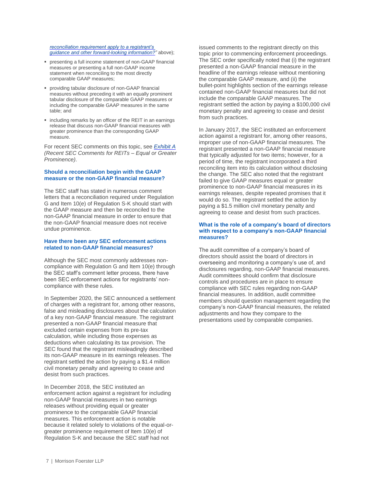*[reconciliation requirement apply to a registrant's](#page-4-1) [guidance and other forward-looking information?"](#page-4-1)* above):

- presenting a full income statement of non-GAAP financial measures or presenting a full non-GAAP income statement when reconciling to the most directly comparable GAAP measures;
- providing tabular disclosure of non-GAAP financial measures without preceding it with an equally prominent tabular disclosure of the comparable GAAP measures or including the comparable GAAP measures in the same table; and
- including remarks by an officer of the REIT in an earnings release that discuss non-GAAP financial measures with greater prominence than the corresponding GAAP measure.

For recent SEC comments on this topic, see *[Exhibit A](#page-9-1) (Recent SEC Comments for REITs – Equal or Greater Prominence)*.

# **Should a reconciliation begin with the GAAP measure or the non-GAAP financial measure?**

The SEC staff has stated in numerous comment letters that a reconciliation required under Regulation G and Item 10(e) of Regulation S-K should start with the GAAP measure and then be reconciled to the non-GAAP financial measure in order to ensure that the non-GAAP financial measure does not receive undue prominence.

#### <span id="page-7-0"></span>**Have there been any SEC enforcement actions related to non-GAAP financial measures?**

Although the SEC most commonly addresses noncompliance with Regulation G and Item 10(e) through the SEC staff's comment letter process, there have been SEC enforcement actions for registrants' noncompliance with these rules.

In September 2020, the SEC announced a settlement of charges with a registrant for, among other reasons, false and misleading disclosures about the calculation of a key non-GAAP financial measure. The registrant presented a non-GAAP financial measure that excluded certain expenses from its pre-tax calculation, while including those expenses as deductions when calculating its tax provision. The SEC found that the registrant misleadingly described its non-GAAP measure in its earnings releases. The registrant settled the action by paying a \$1.4 million civil monetary penalty and agreeing to cease and desist from such practices.

In December 2018, the SEC instituted an enforcement action against a registrant for including non-GAAP financial measures in two earnings releases without providing equal or greater prominence to the comparable GAAP financial measures. This enforcement action is notable because it related solely to violations of the equal-orgreater prominence requirement of Item 10(e) of Regulation S-K and because the SEC staff had not

issued comments to the registrant directly on this topic prior to commencing enforcement proceedings. The SEC order specifically noted that (i) the registrant presented a non-GAAP financial measure in the headline of the earnings release without mentioning the comparable GAAP measure, and (ii) the bullet-point highlights section of the earnings release contained non-GAAP financial measures but did not include the comparable GAAP measures. The registrant settled the action by paying a \$100,000 civil monetary penalty and agreeing to cease and desist from such practices.

In January 2017, the SEC instituted an enforcement action against a registrant for, among other reasons, improper use of non-GAAP financial measures. The registrant presented a non-GAAP financial measure that typically adjusted for two items; however, for a period of time, the registrant incorporated a third reconciling item into its calculation without disclosing the change. The SEC also noted that the registrant failed to give GAAP measures equal or greater prominence to non-GAAP financial measures in its earnings releases, despite repeated promises that it would do so. The registrant settled the action by paying a \$1.5 million civil monetary penalty and agreeing to cease and desist from such practices.

# **What is the role of a company's board of directors with respect to a company's non-GAAP financial measures?**

The audit committee of a company's board of directors should assist the board of directors in overseeing and monitoring a company's use of, and disclosures regarding, non-GAAP financial measures. Audit committees should confirm that disclosure controls and procedures are in place to ensure compliance with SEC rules regarding non-GAAP financial measures. In addition, audit committee members should question management regarding the company's non-GAAP financial measures, the related adjustments and how they compare to the presentations used by comparable companies.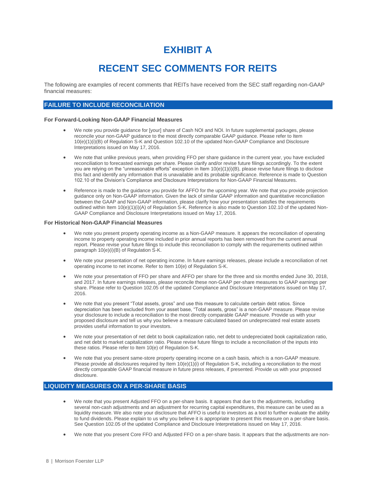# **EXHIBIT A**

# **RECENT SEC COMMENTS FOR REITS**

The following are examples of recent comments that REITs have received from the SEC staff regarding non-GAAP financial measures:

# <span id="page-8-0"></span>**FAILURE TO INCLUDE RECONCILIATION**

#### **For Forward-Looking Non-GAAP Financial Measures**

- We note you provide guidance for [your] share of Cash NOI and NOI. In future supplemental packages, please reconcile your non-GAAP guidance to the most directly comparable GAAP guidance. Please refer to Item 10(e)(1)(i)(B) of Regulation S-K and Question 102.10 of the updated Non-GAAP Compliance and Disclosure Interpretations issued on May 17, 2016.
- We note that unlike previous years, when providing FFO per share guidance in the current year, you have excluded reconciliation to forecasted earnings per share. Please clarify and/or revise future filings accordingly. To the extent you are relying on the "unreasonable efforts" exception in Item 10(e)(1)(i)(B), please revise future filings to disclose this fact and identify any information that is unavailable and its probable significance. Reference is made to Question 102.10 of the Division's Compliance and Disclosure Interpretations for Non-GAAP Financial Measures.
- Reference is made to the guidance you provide for AFFO for the upcoming year. We note that you provide projection guidance only on Non-GAAP information. Given the lack of similar GAAP information and quantitative reconciliation between the GAAP and Non-GAAP information, please clarify how your presentation satisfies the requirements outlined within Item 10(e)(1)(i)(A) of Regulation S-K. Reference is also made to Question 102.10 of the updated Non-GAAP Compliance and Disclosure Interpretations issued on May 17, 2016.

# **For Historical Non-GAAP Financial Measures**

- We note you present property operating income as a Non-GAAP measure. It appears the reconciliation of operating income to property operating income included in prior annual reports has been removed from the current annual report. Please revise your future filings to include this reconciliation to comply with the requirements outlined within paragraph 10(e)(i)(B) of Regulation S-K.
- We note your presentation of net operating income. In future earnings releases, please include a reconciliation of net operating income to net income. Refer to Item 10(e) of Regulation S-K.
- We note your presentation of FFO per share and AFFO per share for the three and six months ended June 30, 2018, and 2017. In future earnings releases, please reconcile these non-GAAP per-share measures to GAAP earnings per share. Please refer to Question 102.05 of the updated Compliance and Disclosure Interpretations issued on May 17, 2016.
- We note that you present "Total assets, gross" and use this measure to calculate certain debt ratios. Since depreciation has been excluded from your asset base, "Total assets, gross" is a non-GAAP measure. Please revise your disclosure to include a reconciliation to the most directly comparable GAAP measure. Provide us with your proposed disclosure and tell us why you believe a measure calculated based on undepreciated real estate assets provides useful information to your investors.
- We note your presentation of net debt to book capitalization ratio, net debt to undepreciated book capitalization ratio, and net debt to market capitalization ratio. Please revise future filings to include a reconciliation of the inputs into these ratios. Please refer to Item 10(e) of Regulation S-K.
- We note that you present same-store property operating income on a cash basis, which is a non-GAAP measure. Please provide all disclosures required by Item 10(e)(1)(i) of Regulation S-K, including a reconciliation to the most directly comparable GAAP financial measure in future press releases, if presented. Provide us with your proposed disclosure.

# <span id="page-8-1"></span>**LIQUIDITY MEASURES ON A PER-SHARE BASIS**

- We note that you present Adjusted FFO on a per-share basis. It appears that due to the adjustments, including several non-cash adjustments and an adjustment for recurring capital expenditures, this measure can be used as a liquidity measure. We also note your disclosure that AFFO is useful to investors as a tool to further evaluate the ability to fund dividends. Please explain to us why you believe it is appropriate to present this measure on a per-share basis. See Question 102.05 of the updated Compliance and Disclosure Interpretations issued on May 17, 2016.
- We note that you present Core FFO and Adjusted FFO on a per-share basis. It appears that the adjustments are non-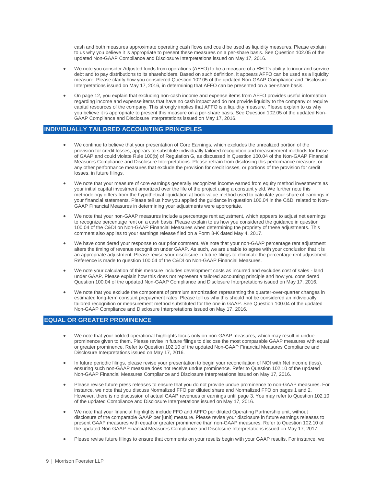cash and both measures approximate operating cash flows and could be used as liquidity measures. Please explain to us why you believe it is appropriate to present these measures on a per-share basis. See Question 102.05 of the updated Non-GAAP Compliance and Disclosure Interpretations issued on May 17, 2016.

- We note you consider Adjusted funds from operations (AFFO) to be a measure of a REIT's ability to incur and service debt and to pay distributions to its shareholders. Based on such definition, it appears AFFO can be used as a liquidity measure. Please clarify how you considered Question 102.05 of the updated Non-GAAP Compliance and Disclosure Interpretations issued on May 17, 2016, in determining that AFFO can be presented on a per-share basis.
- On page 12, you explain that excluding non-cash income and expense items from AFFO provides useful information regarding income and expense items that have no cash impact and do not provide liquidity to the company or require capital resources of the company. This strongly implies that AFFO is a liquidity measure. Please explain to us why you believe it is appropriate to present this measure on a per-share basis. See Question 102.05 of the updated Non-GAAP Compliance and Disclosure Interpretations issued on May 17, 2016.

# <span id="page-9-0"></span>**INDIVIDUALLY TAILORED ACCOUNTING PRINCIPLES**

- We continue to believe that your presentation of Core Earnings, which excludes the unrealized portion of the provision for credit losses, appears to substitute individually tailored recognition and measurement methods for those of GAAP and could violate Rule 100(b) of Regulation G, as discussed in Question 100.04 of the Non-GAAP Financial Measures Compliance and Disclosure Interpretations. Please refrain from disclosing this performance measure, or any other performance measures that exclude the provision for credit losses, or portions of the provision for credit losses, in future filings.
- We note that your measure of core earnings generally recognizes income earned from equity method investments as your initial capital investment amortized over the life of the project using a constant yield. We further note this methodology differs from the hypothetical liquidation at book value method used to calculate your share of earnings in your financial statements. Please tell us how you applied the guidance in question 100.04 in the C&DI related to Non-GAAP Financial Measures in determining your adjustments were appropriate.
- We note that your non-GAAP measures include a percentage rent adjustment, which appears to adjust net earnings to recognize percentage rent on a cash basis. Please explain to us how you considered the guidance in question 100.04 of the C&DI on Non-GAAP Financial Measures when determining the propriety of these adjustments. This comment also applies to your earnings release filed on a Form 8-K dated May 4, 2017.
- We have considered your response to our prior comment. We note that your non-GAAP percentage rent adjustment alters the timing of revenue recognition under GAAP. As such, we are unable to agree with your conclusion that it is an appropriate adjustment. Please revise your disclosure in future filings to eliminate the percentage rent adjustment. Reference is made to question 100.04 of the C&DI on Non-GAAP Financial Measures.
- We note your calculation of this measure includes development costs as incurred and excludes cost of sales land under GAAP. Please explain how this does not represent a tailored accounting principle and how you considered Question 100.04 of the updated Non-GAAP Compliance and Disclosure Interpretations issued on May 17, 2016.
- We note that you exclude the component of premium amortization representing the quarter-over-quarter changes in estimated long-term constant prepayment rates. Please tell us why this should not be considered an individually tailored recognition or measurement method substituted for the one in GAAP. See Question 100.04 of the updated Non-GAAP Compliance and Disclosure Interpretations issued on May 17, 2016.

# <span id="page-9-1"></span>**EQUAL OR GREATER PROMINENCE**

- We note that your bolded operational highlights focus only on non-GAAP measures, which may result in undue prominence given to them. Please revise in future filings to disclose the most comparable GAAP measures with equal or greater prominence. Refer to Question 102.10 of the updated Non-GAAP Financial Measures Compliance and Disclosure Interpretations issued on May 17, 2016.
- In future periodic filings, please revise your presentation to begin your reconciliation of NOI with Net income (loss), ensuring such non-GAAP measure does not receive undue prominence. Refer to Question 102.10 of the updated Non-GAAP Financial Measures Compliance and Disclosure Interpretations issued on May 17, 2016.
- Please revise future press releases to ensure that you do not provide undue prominence to non-GAAP measures. For instance, we note that you discuss Normalized FFO per diluted share and Normalized FFO on pages 1 and 2. However, there is no discussion of actual GAAP revenues or earnings until page 3. You may refer to Question 102.10 of the updated Compliance and Disclosure Interpretations issued on May 17, 2016.
- We note that your financial highlights include FFO and AFFO per diluted Operating Partnership unit, without disclosure of the comparable GAAP per [unit] measure. Please revise your disclosure in future earnings releases to present GAAP measures with equal or greater prominence than non-GAAP measures. Refer to Question 102.10 of the updated Non-GAAP Financial Measures Compliance and Disclosure Interpretations issued on May 17, 2017.
- Please revise future filings to ensure that comments on your results begin with your GAAP results. For instance, we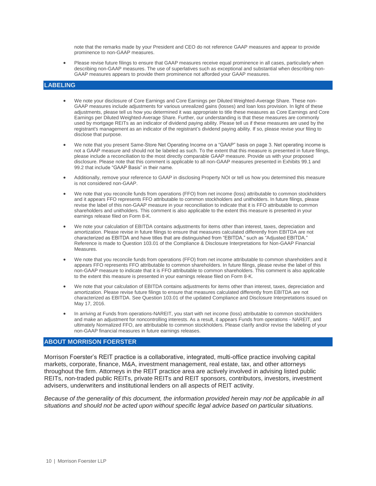note that the remarks made by your President and CEO do not reference GAAP measures and appear to provide prominence to non-GAAP measures.

 Please revise future filings to ensure that GAAP measures receive equal prominence in all cases, particularly when describing non-GAAP measures. The use of superlatives such as exceptional and substantial when describing non-GAAP measures appears to provide them prominence not afforded your GAAP measures.

# <span id="page-10-0"></span>**LABELING**

- We note your disclosure of Core Earnings and Core Earnings per Diluted Weighted-Average Share. These non-GAAP measures include adjustments for various unrealized gains (losses) and loan loss provision. In light of these adjustments, please tell us how you determined it was appropriate to title these measures as Core Earnings and Core Earnings per Diluted Weighted-Average Share. Further, our understanding is that these measures are commonly used by mortgage REITs as an indicator of dividend paying ability. Please tell us if these measures are used by the registrant's management as an indicator of the registrant's dividend paying ability. If so, please revise your filing to disclose that purpose.
- We note that you present Same-Store Net Operating Income on a "GAAP" basis on page 3. Net operating income is not a GAAP measure and should not be labeled as such. To the extent that this measure is presented in future filings, please include a reconciliation to the most directly comparable GAAP measure. Provide us with your proposed disclosure. Please note that this comment is applicable to all non-GAAP measures presented in Exhibits 99.1 and 99.2 that include "GAAP Basis" in their name.
- Additionally, remove your reference to GAAP in disclosing Property NOI or tell us how you determined this measure is not considered non-GAAP.
- We note that you reconcile funds from operations (FFO) from net income (loss) attributable to common stockholders and it appears FFO represents FFO attributable to common stockholders and unitholders. In future filings, please revise the label of this non-GAAP measure in your reconciliation to indicate that it is FFO attributable to common shareholders and unitholders. This comment is also applicable to the extent this measure is presented in your earnings release filed on Form 8-K.
- We note your calculation of EBITDA contains adjustments for items other than interest, taxes, depreciation and amortization. Please revise in future filings to ensure that measures calculated differently from EBITDA are not characterized as EBITDA and have titles that are distinguished from "EBITDA," such as "Adjusted EBITDA." Reference is made to Question 103.01 of the Compliance & Disclosure Interpretations for Non-GAAP Financial Measures.
- We note that you reconcile funds from operations (FFO) from net income attributable to common shareholders and it appears FFO represents FFO attributable to common shareholders. In future filings, please revise the label of this non-GAAP measure to indicate that it is FFO attributable to common shareholders. This comment is also applicable to the extent this measure is presented in your earnings release filed on Form 8-K.
- We note that your calculation of EBITDA contains adjustments for items other than interest, taxes, depreciation and amortization. Please revise future filings to ensure that measures calculated differently from EBITDA are not characterized as EBITDA. See Question 103.01 of the updated Compliance and Disclosure Interpretations issued on May 17, 2016.
- In arriving at Funds from operations-NAREIT, you start with net income (loss) attributable to common stockholders and make an adjustment for noncontrolling interests. As a result, it appears Funds from operations - NAREIT, and ultimately Normalized FFO, are attributable to common stockholders. Please clarify and/or revise the labeling of your non-GAAP financial measures in future earnings releases.

# **ABOUT MORRISON FOERSTER**

Morrison Foerster's REIT practice is a collaborative, integrated, multi-office practice involving capital markets, corporate, finance, M&A, investment management, real estate, tax, and other attorneys throughout the firm. Attorneys in the REIT practice area are actively involved in advising listed public REITs, non-traded public REITs, private REITs and REIT sponsors, contributors, investors, investment advisers, underwriters and institutional lenders on all aspects of REIT activity.

*Because of the generality of this document, the information provided herein may not be applicable in all situations and should not be acted upon without specific legal advice based on particular situations.*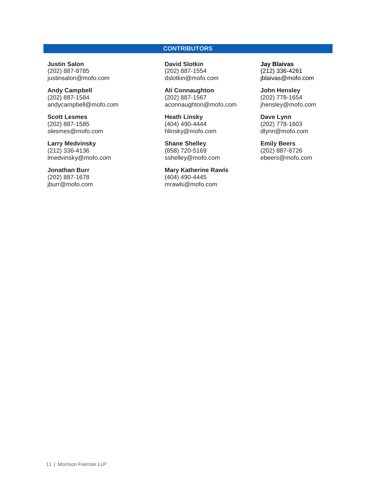# **CONTRIBUTORS**

**Justin Salon** (202) 887-8785 [justinsalon@mofo.com](mailto:justinsalon@mofo.com)

**Andy Campbell** (202) 887-1584 andycampbell@mofo.com

**Scott Lesmes** (202) 887-1585 slesmes@mofo.com

**Larry Medvinsky** (212) 336-4136 lmedvinsky@mofo.com

**Jonathan Burr** (202) 887-1678 jburr@mofo.com **David Slotkin** (202) 887-1554 [dslotkin@mofo.com](mailto:dslotkin@mofo.com)

**Ali Connaughton** (202) 887-1567 aconnaughton@mofo.com

**Heath Linsky** (404) 490-4444 hlinsky@mofo.com

**Shane Shelley** (858) 720-5169 sshelley@mofo.com

**Mary Katherine Rawls** (404) 490-4445 mrawls@mofo.com

**Jay Blaivas** (212) 336-4261 jblaivas@mofo.com

**John Hensley** (202) 778-1654 jhensley@mofo.com

**Dave Lynn** (202) 778-1603 dlynn@mofo.com

**Emily Beers** (202) 887-8726 [ebeers@mofo.com](mailto:ebeers@mofo.com)